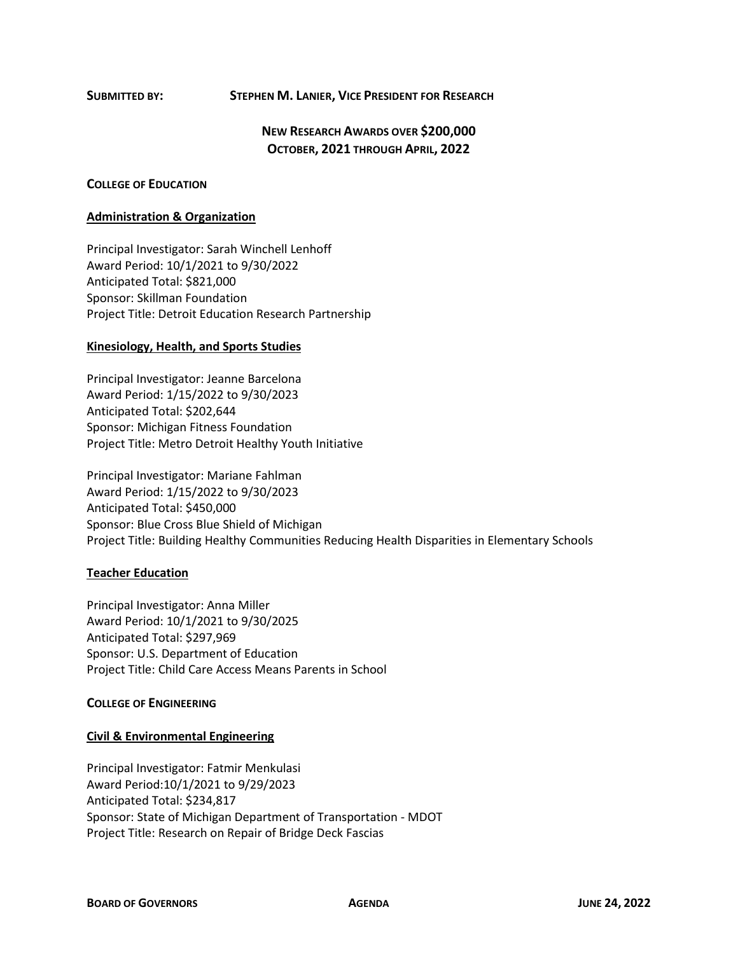**SUBMITTED BY: STEPHEN M. LANIER, VICE PRESIDENT FOR RESEARCH**

# **NEW RESEARCH AWARDS OVER \$200,000 OCTOBER, 2021 THROUGH APRIL, 2022**

#### **COLLEGE OF EDUCATION**

#### **Administration & Organization**

Principal Investigator: Sarah Winchell Lenhoff Award Period: 10/1/2021 to 9/30/2022 Anticipated Total: \$821,000 Sponsor: Skillman Foundation Project Title: Detroit Education Research Partnership

### **Kinesiology, Health, and Sports Studies**

Principal Investigator: Jeanne Barcelona Award Period: 1/15/2022 to 9/30/2023 Anticipated Total: \$202,644 Sponsor: Michigan Fitness Foundation Project Title: Metro Detroit Healthy Youth Initiative

Principal Investigator: Mariane Fahlman Award Period: 1/15/2022 to 9/30/2023 Anticipated Total: \$450,000 Sponsor: Blue Cross Blue Shield of Michigan Project Title: Building Healthy Communities Reducing Health Disparities in Elementary Schools

# **Teacher Education**

Principal Investigator: Anna Miller Award Period: 10/1/2021 to 9/30/2025 Anticipated Total: \$297,969 Sponsor: U.S. Department of Education Project Title: Child Care Access Means Parents in School

#### **COLLEGE OF ENGINEERING**

#### **Civil & Environmental Engineering**

Principal Investigator: Fatmir Menkulasi Award Period:10/1/2021 to 9/29/2023 Anticipated Total: \$234,817 Sponsor: State of Michigan Department of Transportation - MDOT Project Title: Research on Repair of Bridge Deck Fascias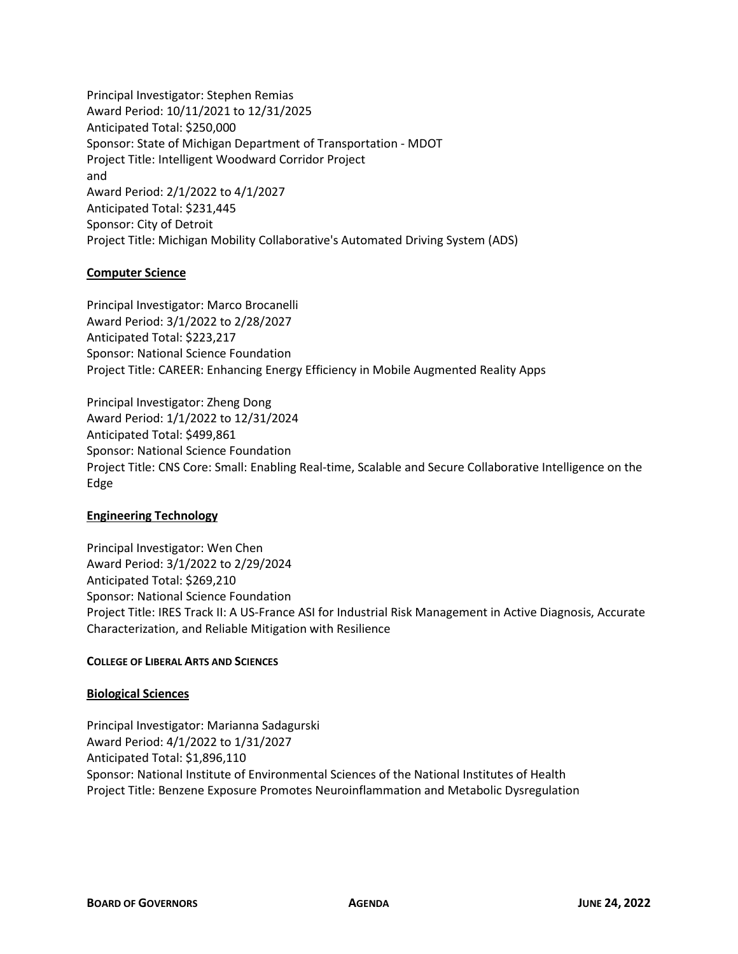Principal Investigator: Stephen Remias Award Period: 10/11/2021 to 12/31/2025 Anticipated Total: \$250,000 Sponsor: State of Michigan Department of Transportation - MDOT Project Title: Intelligent Woodward Corridor Project and Award Period: 2/1/2022 to 4/1/2027 Anticipated Total: \$231,445 Sponsor: City of Detroit Project Title: Michigan Mobility Collaborative's Automated Driving System (ADS)

### **Computer Science**

Principal Investigator: Marco Brocanelli Award Period: 3/1/2022 to 2/28/2027 Anticipated Total: \$223,217 Sponsor: National Science Foundation Project Title: CAREER: Enhancing Energy Efficiency in Mobile Augmented Reality Apps

Principal Investigator: Zheng Dong Award Period: 1/1/2022 to 12/31/2024 Anticipated Total: \$499,861 Sponsor: National Science Foundation Project Title: CNS Core: Small: Enabling Real-time, Scalable and Secure Collaborative Intelligence on the Edge

# **Engineering Technology**

Principal Investigator: Wen Chen Award Period: 3/1/2022 to 2/29/2024 Anticipated Total: \$269,210 Sponsor: National Science Foundation Project Title: IRES Track II: A US-France ASI for Industrial Risk Management in Active Diagnosis, Accurate Characterization, and Reliable Mitigation with Resilience

#### **COLLEGE OF LIBERAL ARTS AND SCIENCES**

#### **Biological Sciences**

Principal Investigator: Marianna Sadagurski Award Period: 4/1/2022 to 1/31/2027 Anticipated Total: \$1,896,110 Sponsor: National Institute of Environmental Sciences of the National Institutes of Health Project Title: Benzene Exposure Promotes Neuroinflammation and Metabolic Dysregulation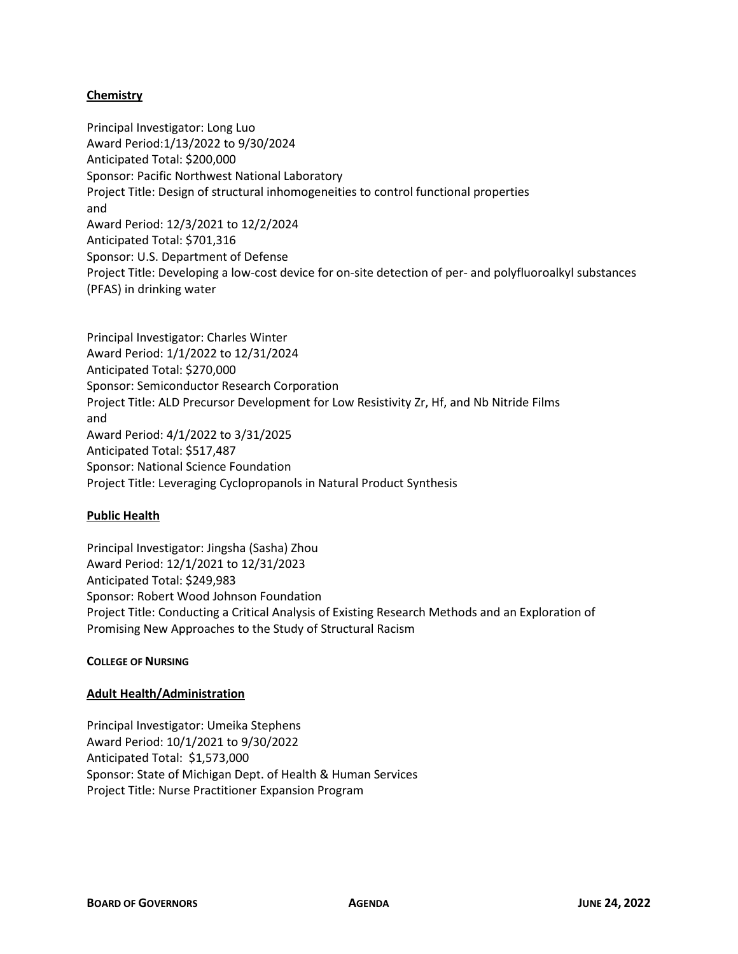# **Chemistry**

Principal Investigator: Long Luo Award Period:1/13/2022 to 9/30/2024 Anticipated Total: \$200,000 Sponsor: Pacific Northwest National Laboratory Project Title: Design of structural inhomogeneities to control functional properties and Award Period: 12/3/2021 to 12/2/2024 Anticipated Total: \$701,316 Sponsor: U.S. Department of Defense Project Title: Developing a low-cost device for on-site detection of per- and polyfluoroalkyl substances (PFAS) in drinking water

Principal Investigator: Charles Winter Award Period: 1/1/2022 to 12/31/2024 Anticipated Total: \$270,000 Sponsor: Semiconductor Research Corporation Project Title: ALD Precursor Development for Low Resistivity Zr, Hf, and Nb Nitride Films and Award Period: 4/1/2022 to 3/31/2025 Anticipated Total: \$517,487 Sponsor: National Science Foundation Project Title: Leveraging Cyclopropanols in Natural Product Synthesis

# **Public Health**

Principal Investigator: Jingsha (Sasha) Zhou Award Period: 12/1/2021 to 12/31/2023 Anticipated Total: \$249,983 Sponsor: Robert Wood Johnson Foundation Project Title: Conducting a Critical Analysis of Existing Research Methods and an Exploration of Promising New Approaches to the Study of Structural Racism

# **COLLEGE OF NURSING**

# **Adult Health/Administration**

Principal Investigator: Umeika Stephens Award Period: 10/1/2021 to 9/30/2022 Anticipated Total: \$1,573,000 Sponsor: State of Michigan Dept. of Health & Human Services Project Title: Nurse Practitioner Expansion Program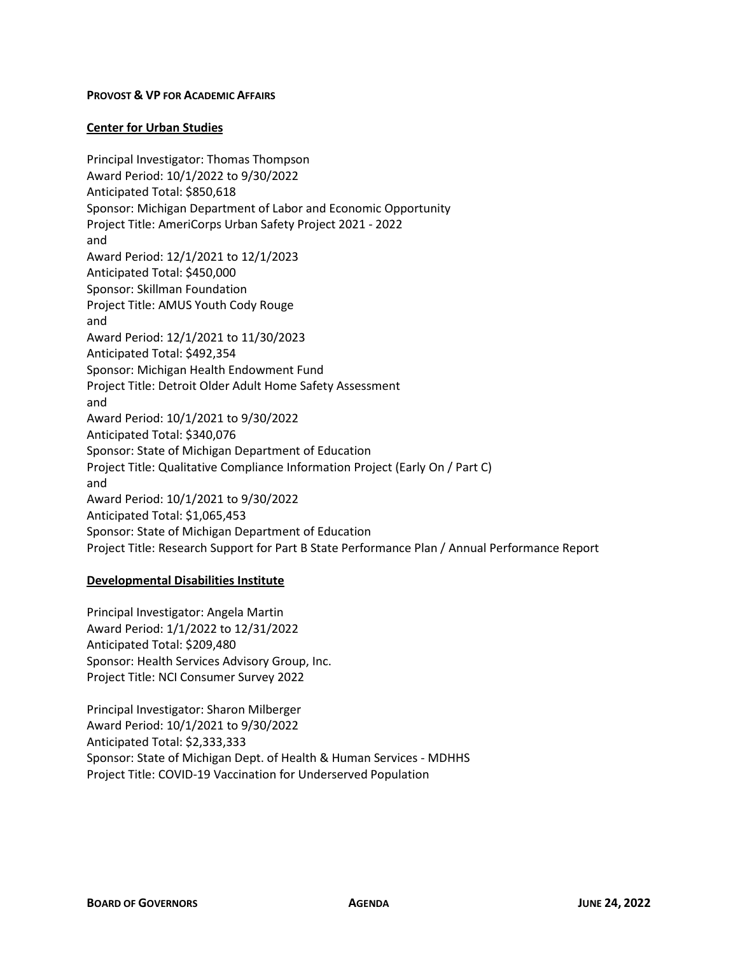#### **PROVOST & VP FOR ACADEMIC AFFAIRS**

#### **Center for Urban Studies**

Principal Investigator: Thomas Thompson Award Period: 10/1/2022 to 9/30/2022 Anticipated Total: \$850,618 Sponsor: Michigan Department of Labor and Economic Opportunity Project Title: AmeriCorps Urban Safety Project 2021 - 2022 and Award Period: 12/1/2021 to 12/1/2023 Anticipated Total: \$450,000 Sponsor: Skillman Foundation Project Title: AMUS Youth Cody Rouge and Award Period: 12/1/2021 to 11/30/2023 Anticipated Total: \$492,354 Sponsor: Michigan Health Endowment Fund Project Title: Detroit Older Adult Home Safety Assessment and Award Period: 10/1/2021 to 9/30/2022 Anticipated Total: \$340,076 Sponsor: State of Michigan Department of Education Project Title: Qualitative Compliance Information Project (Early On / Part C) and Award Period: 10/1/2021 to 9/30/2022 Anticipated Total: \$1,065,453 Sponsor: State of Michigan Department of Education Project Title: Research Support for Part B State Performance Plan / Annual Performance Report

#### **Developmental Disabilities Institute**

Principal Investigator: Angela Martin Award Period: 1/1/2022 to 12/31/2022 Anticipated Total: \$209,480 Sponsor: Health Services Advisory Group, Inc. Project Title: NCI Consumer Survey 2022

Principal Investigator: Sharon Milberger Award Period: 10/1/2021 to 9/30/2022 Anticipated Total: \$2,333,333 Sponsor: State of Michigan Dept. of Health & Human Services - MDHHS Project Title: COVID-19 Vaccination for Underserved Population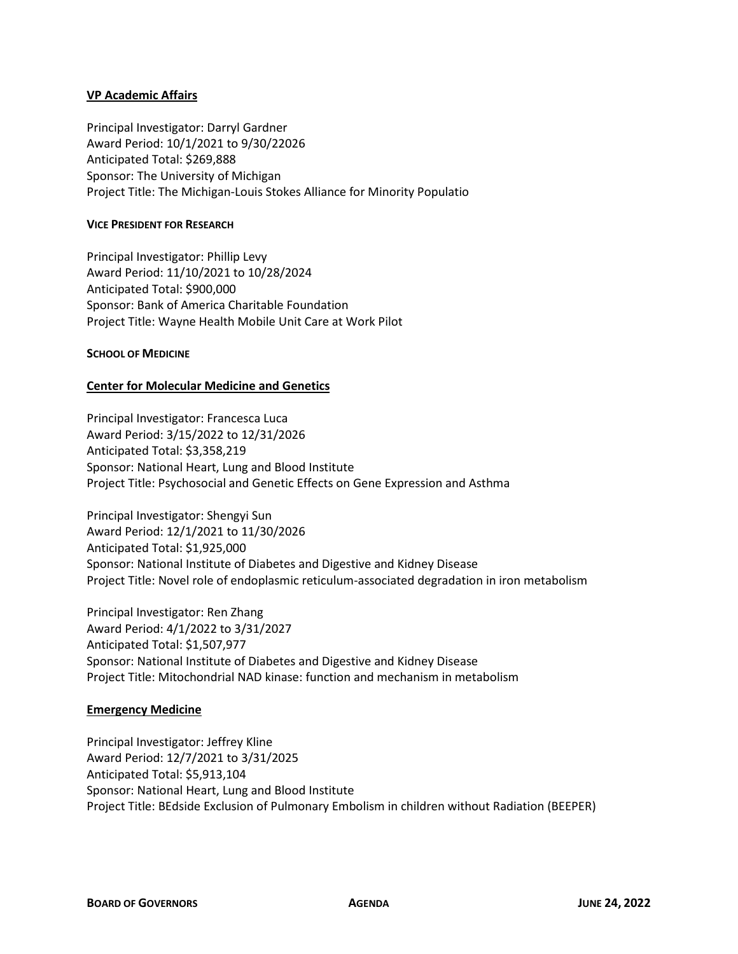### **VP Academic Affairs**

Principal Investigator: Darryl Gardner Award Period: 10/1/2021 to 9/30/22026 Anticipated Total: \$269,888 Sponsor: The University of Michigan Project Title: The Michigan-Louis Stokes Alliance for Minority Populatio

#### **VICE PRESIDENT FOR RESEARCH**

Principal Investigator: Phillip Levy Award Period: 11/10/2021 to 10/28/2024 Anticipated Total: \$900,000 Sponsor: Bank of America Charitable Foundation Project Title: Wayne Health Mobile Unit Care at Work Pilot

#### **SCHOOL OF MEDICINE**

#### **Center for Molecular Medicine and Genetics**

Principal Investigator: Francesca Luca Award Period: 3/15/2022 to 12/31/2026 Anticipated Total: \$3,358,219 Sponsor: National Heart, Lung and Blood Institute Project Title: Psychosocial and Genetic Effects on Gene Expression and Asthma

Principal Investigator: Shengyi Sun Award Period: 12/1/2021 to 11/30/2026 Anticipated Total: \$1,925,000 Sponsor: National Institute of Diabetes and Digestive and Kidney Disease Project Title: Novel role of endoplasmic reticulum-associated degradation in iron metabolism

Principal Investigator: Ren Zhang Award Period: 4/1/2022 to 3/31/2027 Anticipated Total: \$1,507,977 Sponsor: National Institute of Diabetes and Digestive and Kidney Disease Project Title: Mitochondrial NAD kinase: function and mechanism in metabolism

#### **Emergency Medicine**

Principal Investigator: Jeffrey Kline Award Period: 12/7/2021 to 3/31/2025 Anticipated Total: \$5,913,104 Sponsor: National Heart, Lung and Blood Institute Project Title: BEdside Exclusion of Pulmonary Embolism in children without Radiation (BEEPER)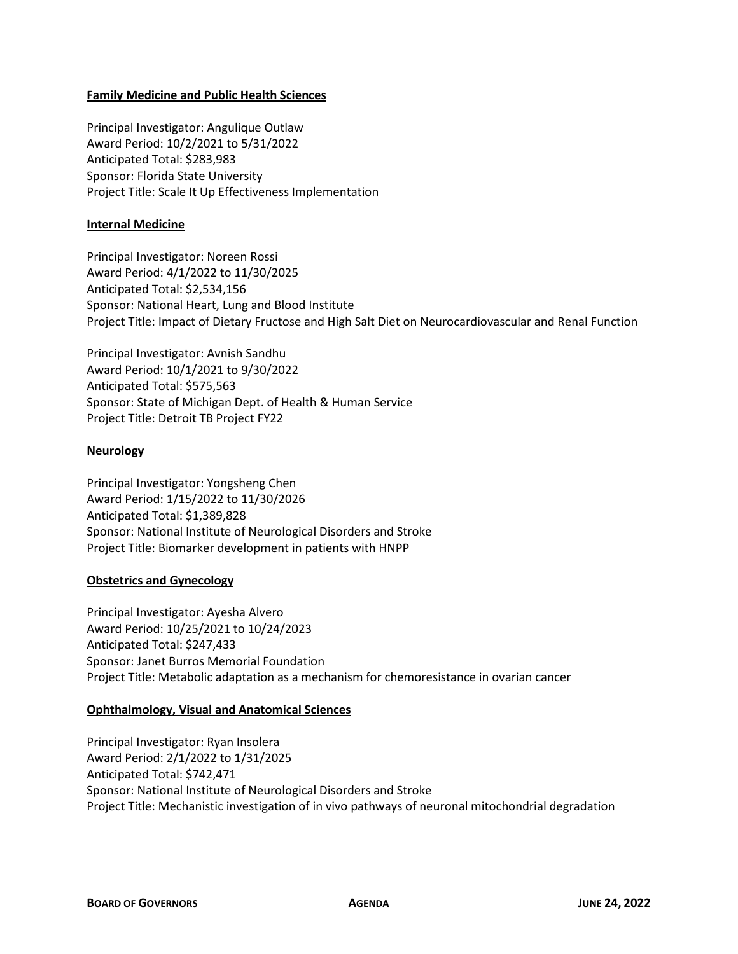# **Family Medicine and Public Health Sciences**

Principal Investigator: Angulique Outlaw Award Period: 10/2/2021 to 5/31/2022 Anticipated Total: \$283,983 Sponsor: Florida State University Project Title: Scale It Up Effectiveness Implementation

### **Internal Medicine**

Principal Investigator: Noreen Rossi Award Period: 4/1/2022 to 11/30/2025 Anticipated Total: \$2,534,156 Sponsor: National Heart, Lung and Blood Institute Project Title: Impact of Dietary Fructose and High Salt Diet on Neurocardiovascular and Renal Function

Principal Investigator: Avnish Sandhu Award Period: 10/1/2021 to 9/30/2022 Anticipated Total: \$575,563 Sponsor: State of Michigan Dept. of Health & Human Service Project Title: Detroit TB Project FY22

### **Neurology**

Principal Investigator: Yongsheng Chen Award Period: 1/15/2022 to 11/30/2026 Anticipated Total: \$1,389,828 Sponsor: National Institute of Neurological Disorders and Stroke Project Title: Biomarker development in patients with HNPP

# **Obstetrics and Gynecology**

Principal Investigator: Ayesha Alvero Award Period: 10/25/2021 to 10/24/2023 Anticipated Total: \$247,433 Sponsor: Janet Burros Memorial Foundation Project Title: Metabolic adaptation as a mechanism for chemoresistance in ovarian cancer

#### **Ophthalmology, Visual and Anatomical Sciences**

Principal Investigator: Ryan Insolera Award Period: 2/1/2022 to 1/31/2025 Anticipated Total: \$742,471 Sponsor: National Institute of Neurological Disorders and Stroke Project Title: Mechanistic investigation of in vivo pathways of neuronal mitochondrial degradation